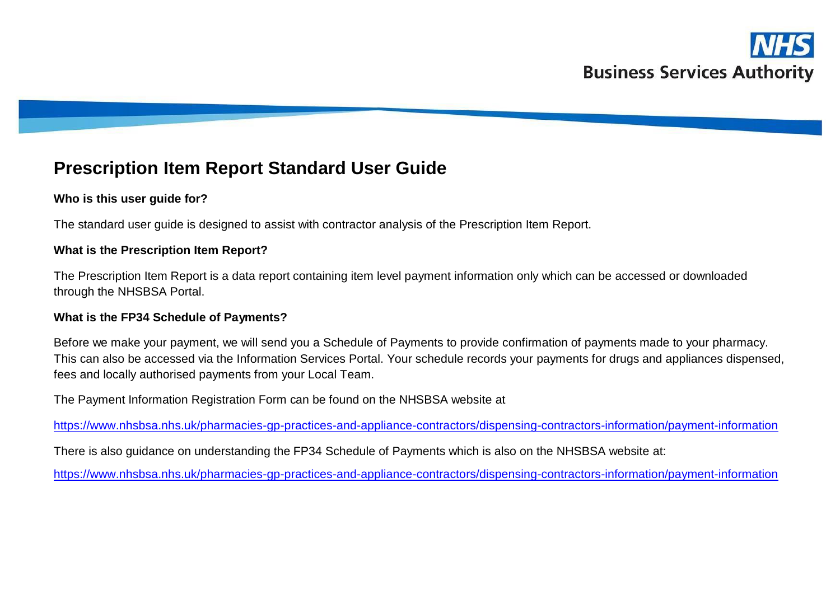# **Prescription Item Report Standard User Guide**

### **Who is this user guide for?**

The standard user guide is designed to assist with contractor analysis of the Prescription Item Report.

#### **What is the Prescription Item Report?**

The Prescription Item Report is a data report containing item level payment information only which can be accessed or downloaded through the NHSBSA Portal.

#### **What is the FP34 Schedule of Payments?**

Before we make your payment, we will send you a Schedule of Payments to provide confirmation of payments made to your pharmacy. This can also be accessed via the Information Services Portal. Your schedule records your payments for drugs and appliances dispensed, fees and locally authorised payments from your Local Team.

The Payment Information Registration Form can be found on the NHSBSA website at

<https://www.nhsbsa.nhs.uk/pharmacies-gp-practices-and-appliance-contractors/dispensing-contractors-information/payment-information>

There is also guidance on understanding the FP34 Schedule of Payments which is also on the NHSBSA website at:

<https://www.nhsbsa.nhs.uk/pharmacies-gp-practices-and-appliance-contractors/dispensing-contractors-information/payment-information>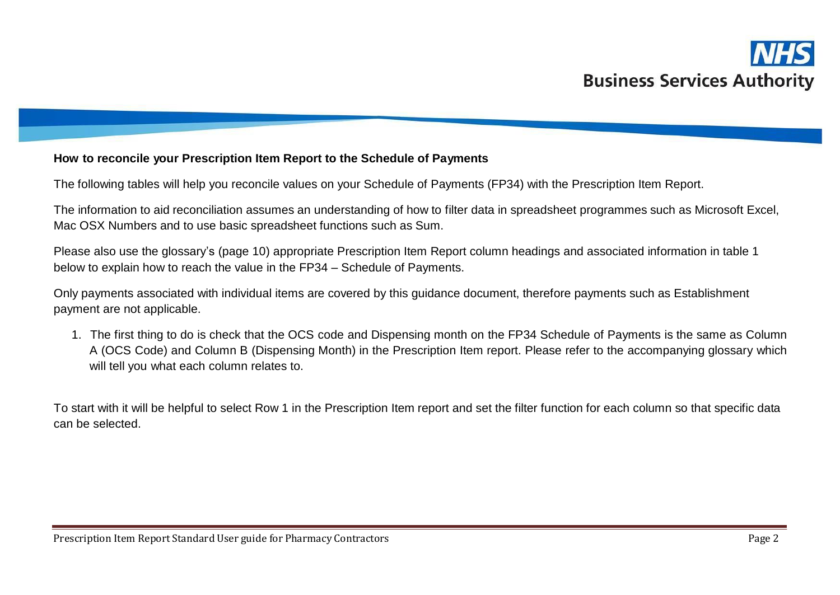

#### **How to reconcile your Prescription Item Report to the Schedule of Payments**

The following tables will help you reconcile values on your Schedule of Payments (FP34) with the Prescription Item Report.

The information to aid reconciliation assumes an understanding of how to filter data in spreadsheet programmes such as Microsoft Excel, Mac OSX Numbers and to use basic spreadsheet functions such as Sum.

Please also use the glossary's (page 10) appropriate Prescription Item Report column headings and associated information in table 1 below to explain how to reach the value in the FP34 – Schedule of Payments.

Only payments associated with individual items are covered by this guidance document, therefore payments such as Establishment payment are not applicable.

1. The first thing to do is check that the OCS code and Dispensing month on the FP34 Schedule of Payments is the same as Column A (OCS Code) and Column B (Dispensing Month) in the Prescription Item report. Please refer to the accompanying glossary which will tell you what each column relates to.

To start with it will be helpful to select Row 1 in the Prescription Item report and set the filter function for each column so that specific data can be selected.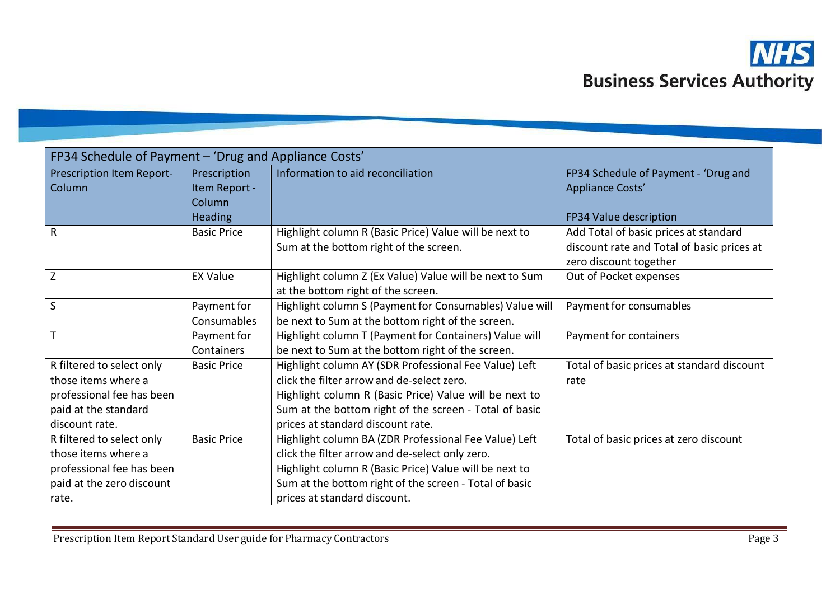

| FP34 Schedule of Payment - 'Drug and Appliance Costs'                                                                   |                                                           |                                                                                                                                                                                                                                                              |                                                                                                               |
|-------------------------------------------------------------------------------------------------------------------------|-----------------------------------------------------------|--------------------------------------------------------------------------------------------------------------------------------------------------------------------------------------------------------------------------------------------------------------|---------------------------------------------------------------------------------------------------------------|
| Prescription Item Report-<br>Column                                                                                     | Prescription<br>Item Report -<br>Column<br><b>Heading</b> | Information to aid reconciliation                                                                                                                                                                                                                            | FP34 Schedule of Payment - 'Drug and<br>Appliance Costs'<br>FP34 Value description                            |
| $\mathsf{R}$                                                                                                            | <b>Basic Price</b>                                        | Highlight column R (Basic Price) Value will be next to<br>Sum at the bottom right of the screen.                                                                                                                                                             | Add Total of basic prices at standard<br>discount rate and Total of basic prices at<br>zero discount together |
| Z                                                                                                                       | <b>EX Value</b>                                           | Highlight column Z (Ex Value) Value will be next to Sum<br>at the bottom right of the screen.                                                                                                                                                                | Out of Pocket expenses                                                                                        |
| S                                                                                                                       | Payment for<br>Consumables                                | Highlight column S (Payment for Consumables) Value will<br>be next to Sum at the bottom right of the screen.                                                                                                                                                 | Payment for consumables                                                                                       |
| $\mathsf{T}$                                                                                                            | Payment for<br>Containers                                 | Highlight column T (Payment for Containers) Value will<br>be next to Sum at the bottom right of the screen.                                                                                                                                                  | Payment for containers                                                                                        |
| R filtered to select only<br>those items where a<br>professional fee has been<br>paid at the standard<br>discount rate. | <b>Basic Price</b>                                        | Highlight column AY (SDR Professional Fee Value) Left<br>click the filter arrow and de-select zero.<br>Highlight column R (Basic Price) Value will be next to<br>Sum at the bottom right of the screen - Total of basic<br>prices at standard discount rate. | Total of basic prices at standard discount<br>rate                                                            |
| R filtered to select only<br>those items where a<br>professional fee has been<br>paid at the zero discount<br>rate.     | <b>Basic Price</b>                                        | Highlight column BA (ZDR Professional Fee Value) Left<br>click the filter arrow and de-select only zero.<br>Highlight column R (Basic Price) Value will be next to<br>Sum at the bottom right of the screen - Total of basic<br>prices at standard discount. | Total of basic prices at zero discount                                                                        |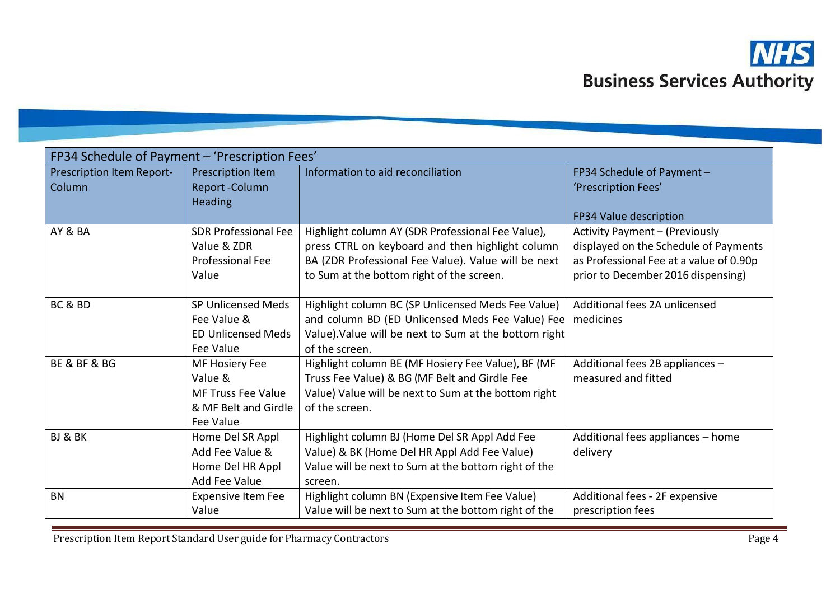

| FP34 Schedule of Payment - 'Prescription Fees' |                             |                                                       |                                         |
|------------------------------------------------|-----------------------------|-------------------------------------------------------|-----------------------------------------|
| Prescription Item Report-                      | Prescription Item           | Information to aid reconciliation                     | FP34 Schedule of Payment -              |
| Column                                         | Report-Column               |                                                       | 'Prescription Fees'                     |
|                                                | <b>Heading</b>              |                                                       | FP34 Value description                  |
| AY & BA                                        | <b>SDR Professional Fee</b> | Highlight column AY (SDR Professional Fee Value),     | <b>Activity Payment - (Previously</b>   |
|                                                | Value & ZDR                 | press CTRL on keyboard and then highlight column      | displayed on the Schedule of Payments   |
|                                                | <b>Professional Fee</b>     | BA (ZDR Professional Fee Value). Value will be next   | as Professional Fee at a value of 0.90p |
|                                                | Value                       | to Sum at the bottom right of the screen.             | prior to December 2016 dispensing)      |
|                                                |                             |                                                       |                                         |
| BC & BD                                        | SP Unlicensed Meds          | Highlight column BC (SP Unlicensed Meds Fee Value)    | Additional fees 2A unlicensed           |
|                                                | Fee Value &                 | and column BD (ED Unlicensed Meds Fee Value) Fee      | medicines                               |
|                                                | <b>ED Unlicensed Meds</b>   | Value). Value will be next to Sum at the bottom right |                                         |
|                                                | <b>Fee Value</b>            | of the screen.                                        |                                         |
| BE & BF & BG                                   | MF Hosiery Fee              | Highlight column BE (MF Hosiery Fee Value), BF (MF    | Additional fees 2B appliances -         |
|                                                | Value &                     | Truss Fee Value) & BG (MF Belt and Girdle Fee         | measured and fitted                     |
|                                                | <b>MF Truss Fee Value</b>   | Value) Value will be next to Sum at the bottom right  |                                         |
|                                                | & MF Belt and Girdle        | of the screen.                                        |                                         |
|                                                | Fee Value                   |                                                       |                                         |
| BJ & BK                                        | Home Del SR Appl            | Highlight column BJ (Home Del SR Appl Add Fee         | Additional fees appliances - home       |
|                                                | Add Fee Value &             | Value) & BK (Home Del HR Appl Add Fee Value)          | delivery                                |
|                                                | Home Del HR Appl            | Value will be next to Sum at the bottom right of the  |                                         |
|                                                | <b>Add Fee Value</b>        | screen.                                               |                                         |
| <b>BN</b>                                      | <b>Expensive Item Fee</b>   | Highlight column BN (Expensive Item Fee Value)        | Additional fees - 2F expensive          |
|                                                | Value                       | Value will be next to Sum at the bottom right of the  | prescription fees                       |

Prescription Item Report Standard User guide for Pharmacy Contractors **Page 1** Page 4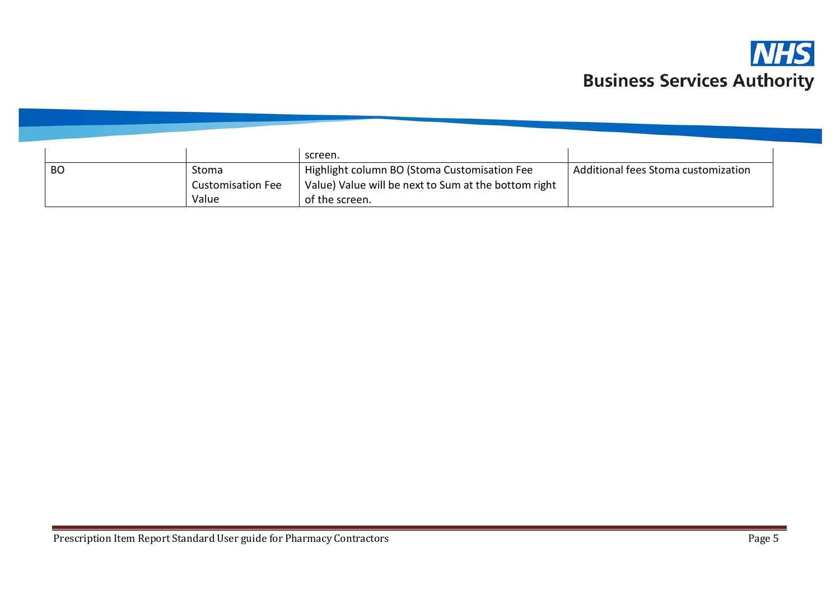

|           |                          | screen.                                              |                                     |
|-----------|--------------------------|------------------------------------------------------|-------------------------------------|
| <b>BO</b> | Stoma                    | Highlight column BO (Stoma Customisation Fee         | Additional fees Stoma customization |
|           | <b>Customisation Fee</b> | Value) Value will be next to Sum at the bottom right |                                     |
|           | Value                    | of the screen.                                       |                                     |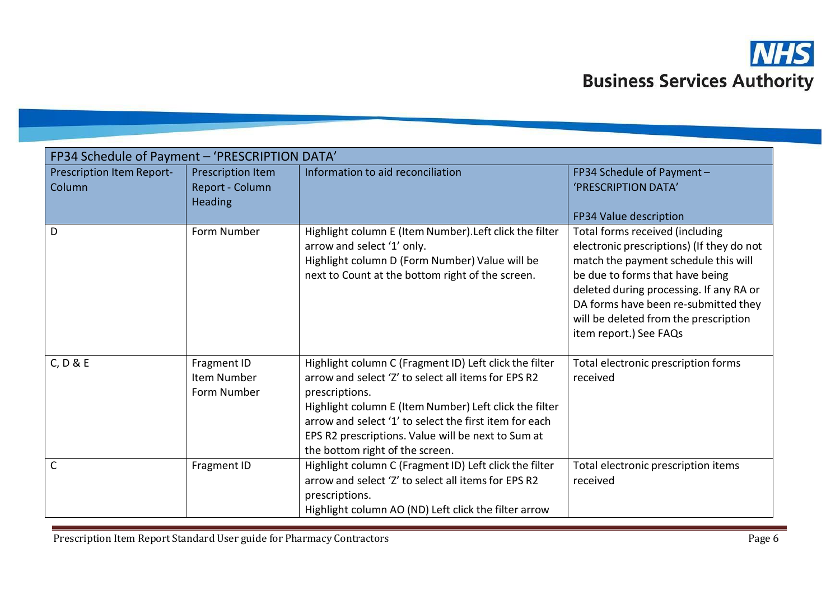

| FP34 Schedule of Payment - 'PRESCRIPTION DATA' |                                                        |                                                                                                                                                                                                                                                                                                                                              |                                                                                                                                                                                                                                                                                                               |
|------------------------------------------------|--------------------------------------------------------|----------------------------------------------------------------------------------------------------------------------------------------------------------------------------------------------------------------------------------------------------------------------------------------------------------------------------------------------|---------------------------------------------------------------------------------------------------------------------------------------------------------------------------------------------------------------------------------------------------------------------------------------------------------------|
| Prescription Item Report-<br>Column            | Prescription Item<br>Report - Column<br><b>Heading</b> | Information to aid reconciliation                                                                                                                                                                                                                                                                                                            | FP34 Schedule of Payment -<br>'PRESCRIPTION DATA'<br>FP34 Value description                                                                                                                                                                                                                                   |
| D                                              | Form Number                                            | Highlight column E (Item Number). Left click the filter<br>arrow and select '1' only.<br>Highlight column D (Form Number) Value will be<br>next to Count at the bottom right of the screen.                                                                                                                                                  | Total forms received (including<br>electronic prescriptions) (If they do not<br>match the payment schedule this will<br>be due to forms that have being<br>deleted during processing. If any RA or<br>DA forms have been re-submitted they<br>will be deleted from the prescription<br>item report.) See FAQs |
| C, D & E                                       | Fragment ID<br>Item Number<br>Form Number              | Highlight column C (Fragment ID) Left click the filter<br>arrow and select 'Z' to select all items for EPS R2<br>prescriptions.<br>Highlight column E (Item Number) Left click the filter<br>arrow and select '1' to select the first item for each<br>EPS R2 prescriptions. Value will be next to Sum at<br>the bottom right of the screen. | Total electronic prescription forms<br>received                                                                                                                                                                                                                                                               |
| $\mathsf{C}$                                   | Fragment ID                                            | Highlight column C (Fragment ID) Left click the filter<br>arrow and select 'Z' to select all items for EPS R2<br>prescriptions.<br>Highlight column AO (ND) Left click the filter arrow                                                                                                                                                      | Total electronic prescription items<br>received                                                                                                                                                                                                                                                               |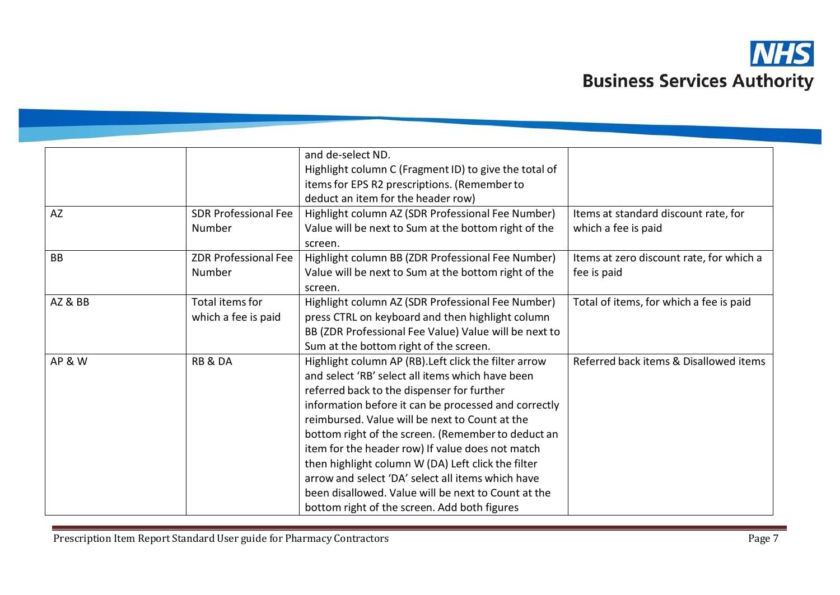

|                    |                             | and de-select ND.                                     |                                          |
|--------------------|-----------------------------|-------------------------------------------------------|------------------------------------------|
|                    |                             | Highlight column C (Fragment ID) to give the total of |                                          |
|                    |                             | items for EPS R2 prescriptions. (Remember to          |                                          |
|                    |                             | deduct an item for the header row)                    |                                          |
| <b>AZ</b>          | <b>SDR Professional Fee</b> | Highlight column AZ (SDR Professional Fee Number)     | Items at standard discount rate, for     |
|                    | Number                      | Value will be next to Sum at the bottom right of the  | which a fee is paid                      |
|                    |                             | screen.                                               |                                          |
| <b>BB</b>          | <b>ZDR Professional Fee</b> | Highlight column BB (ZDR Professional Fee Number)     | Items at zero discount rate, for which a |
|                    | Number                      | Value will be next to Sum at the bottom right of the  | fee is paid                              |
|                    |                             | screen.                                               |                                          |
| <b>AZ &amp; BB</b> | Total items for             | Highlight column AZ (SDR Professional Fee Number)     | Total of items, for which a fee is paid  |
|                    | which a fee is paid         | press CTRL on keyboard and then highlight column      |                                          |
|                    |                             | BB (ZDR Professional Fee Value) Value will be next to |                                          |
|                    |                             | Sum at the bottom right of the screen.                |                                          |
| <b>AP &amp; W</b>  | <b>RB &amp; DA</b>          | Highlight column AP (RB). Left click the filter arrow | Referred back items & Disallowed items   |
|                    |                             | and select 'RB' select all items which have been      |                                          |
|                    |                             | referred back to the dispenser for further            |                                          |
|                    |                             | information before it can be processed and correctly  |                                          |
|                    |                             | reimbursed. Value will be next to Count at the        |                                          |
|                    |                             | bottom right of the screen. (Remember to deduct an    |                                          |
|                    |                             | item for the header row) If value does not match      |                                          |
|                    |                             | then highlight column W (DA) Left click the filter    |                                          |
|                    |                             | arrow and select 'DA' select all items which have     |                                          |
|                    |                             | been disallowed. Value will be next to Count at the   |                                          |
|                    |                             | bottom right of the screen. Add both figures          |                                          |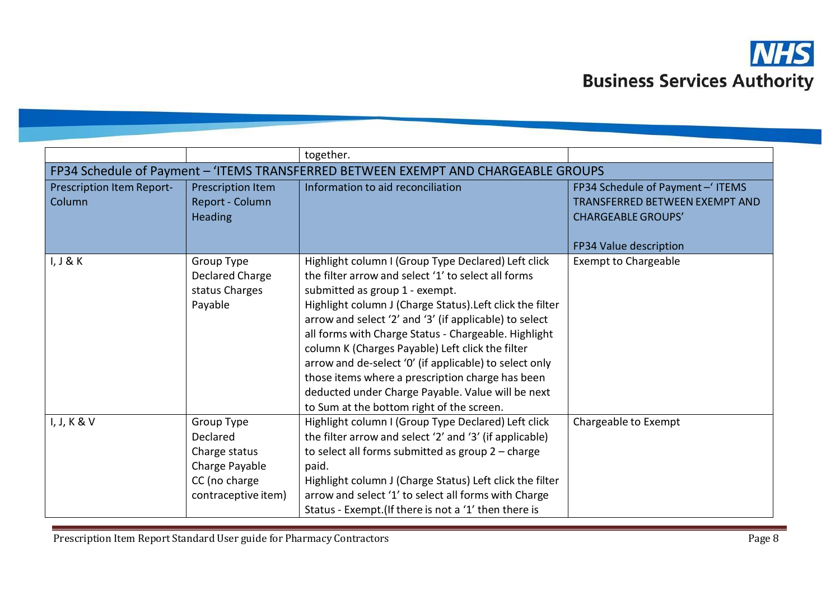

|                                     |                                                                                                   | together.                                                                                                                                                                                                                                                                                                                                                                                                                                                                                                                                                                                       |                                                                                                                                  |
|-------------------------------------|---------------------------------------------------------------------------------------------------|-------------------------------------------------------------------------------------------------------------------------------------------------------------------------------------------------------------------------------------------------------------------------------------------------------------------------------------------------------------------------------------------------------------------------------------------------------------------------------------------------------------------------------------------------------------------------------------------------|----------------------------------------------------------------------------------------------------------------------------------|
|                                     |                                                                                                   | FP34 Schedule of Payment - 'ITEMS TRANSFERRED BETWEEN EXEMPT AND CHARGEABLE GROUPS                                                                                                                                                                                                                                                                                                                                                                                                                                                                                                              |                                                                                                                                  |
| Prescription Item Report-<br>Column | Prescription Item<br>Report - Column<br><b>Heading</b>                                            | Information to aid reconciliation                                                                                                                                                                                                                                                                                                                                                                                                                                                                                                                                                               | FP34 Schedule of Payment - ITEMS<br><b>TRANSFERRED BETWEEN EXEMPT AND</b><br><b>CHARGEABLE GROUPS'</b><br>FP34 Value description |
| I, J & K                            | Group Type<br>Declared Charge<br>status Charges<br>Payable                                        | Highlight column I (Group Type Declared) Left click<br>the filter arrow and select '1' to select all forms<br>submitted as group 1 - exempt.<br>Highlight column J (Charge Status). Left click the filter<br>arrow and select '2' and '3' (if applicable) to select<br>all forms with Charge Status - Chargeable. Highlight<br>column K (Charges Payable) Left click the filter<br>arrow and de-select '0' (if applicable) to select only<br>those items where a prescription charge has been<br>deducted under Charge Payable. Value will be next<br>to Sum at the bottom right of the screen. | <b>Exempt to Chargeable</b>                                                                                                      |
| I, J, K & V                         | Group Type<br>Declared<br>Charge status<br>Charge Payable<br>CC (no charge<br>contraceptive item) | Highlight column I (Group Type Declared) Left click<br>the filter arrow and select '2' and '3' (if applicable)<br>to select all forms submitted as group $2$ – charge<br>paid.<br>Highlight column J (Charge Status) Left click the filter<br>arrow and select '1' to select all forms with Charge<br>Status - Exempt. (If there is not a '1' then there is                                                                                                                                                                                                                                     | Chargeable to Exempt                                                                                                             |

Prescription Item Report Standard User guide for Pharmacy Contractors **Page 1966** Page 8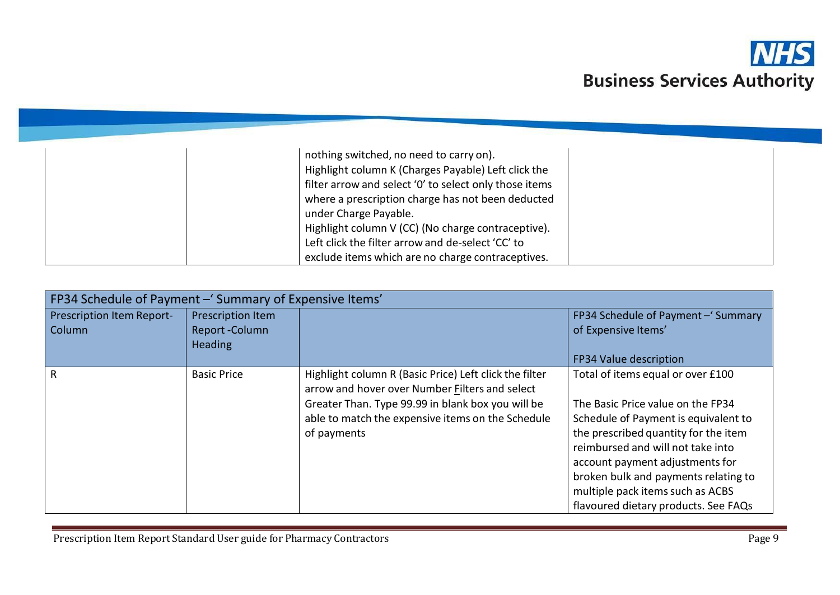

| nothing switched, no need to carry on).                |  |
|--------------------------------------------------------|--|
| Highlight column K (Charges Payable) Left click the    |  |
| filter arrow and select '0' to select only those items |  |
| where a prescription charge has not been deducted      |  |
| under Charge Payable.                                  |  |
| Highlight column V (CC) (No charge contraceptive).     |  |
| Left click the filter arrow and de-select 'CC' to      |  |
| exclude items which are no charge contraceptives.      |  |

| FP34 Schedule of Payment - Summary of Expensive Items' |                    |                                                                                                          |                                      |
|--------------------------------------------------------|--------------------|----------------------------------------------------------------------------------------------------------|--------------------------------------|
| Prescription Item Report-                              | Prescription Item  |                                                                                                          | FP34 Schedule of Payment - 'Summary  |
| Column                                                 | Report-Column      |                                                                                                          | of Expensive Items'                  |
|                                                        | <b>Heading</b>     |                                                                                                          |                                      |
|                                                        |                    |                                                                                                          | FP34 Value description               |
| R                                                      | <b>Basic Price</b> | Highlight column R (Basic Price) Left click the filter<br>arrow and hover over Number Filters and select | Total of items equal or over £100    |
|                                                        |                    | Greater Than. Type 99.99 in blank box you will be                                                        | The Basic Price value on the FP34    |
|                                                        |                    | able to match the expensive items on the Schedule                                                        | Schedule of Payment is equivalent to |
|                                                        |                    | of payments                                                                                              | the prescribed quantity for the item |
|                                                        |                    |                                                                                                          | reimbursed and will not take into    |
|                                                        |                    |                                                                                                          | account payment adjustments for      |
|                                                        |                    |                                                                                                          | broken bulk and payments relating to |
|                                                        |                    |                                                                                                          | multiple pack items such as ACBS     |
|                                                        |                    |                                                                                                          | flavoured dietary products. See FAQs |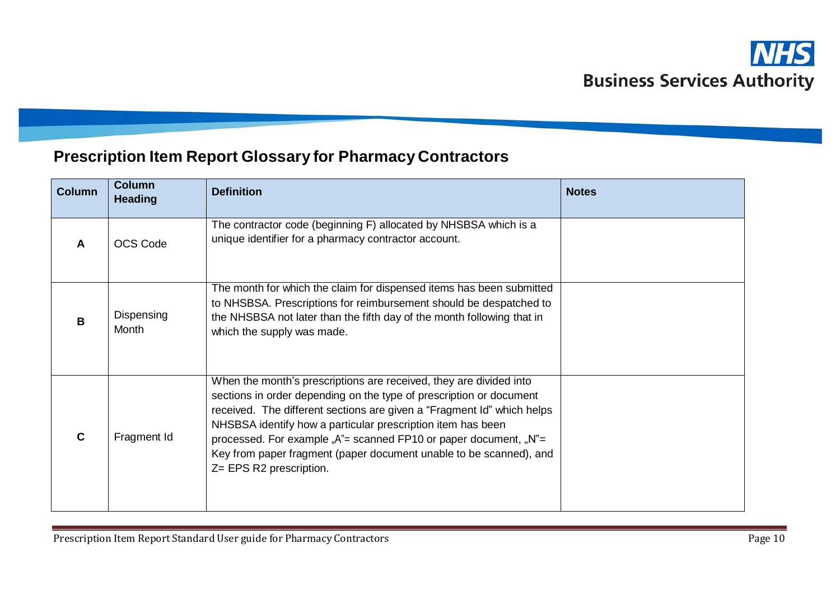## **Prescription Item Report Glossary for Pharmacy Contractors**

| <b>Column</b> | <b>Column</b><br><b>Heading</b> | <b>Definition</b>                                                                                                                                                                                                                                                                                                                                                                                                                                                    | <b>Notes</b> |
|---------------|---------------------------------|----------------------------------------------------------------------------------------------------------------------------------------------------------------------------------------------------------------------------------------------------------------------------------------------------------------------------------------------------------------------------------------------------------------------------------------------------------------------|--------------|
| A             | <b>OCS Code</b>                 | The contractor code (beginning F) allocated by NHSBSA which is a<br>unique identifier for a pharmacy contractor account.                                                                                                                                                                                                                                                                                                                                             |              |
| B             | Dispensing<br>Month             | The month for which the claim for dispensed items has been submitted<br>to NHSBSA. Prescriptions for reimbursement should be despatched to<br>the NHSBSA not later than the fifth day of the month following that in<br>which the supply was made.                                                                                                                                                                                                                   |              |
|               | Fragment Id                     | When the month's prescriptions are received, they are divided into<br>sections in order depending on the type of prescription or document<br>received. The different sections are given a "Fragment Id" which helps<br>NHSBSA identify how a particular prescription item has been<br>processed. For example " $A^*$ = scanned FP10 or paper document, " $N^*$ =<br>Key from paper fragment (paper document unable to be scanned), and<br>$Z = EPS R2$ prescription. |              |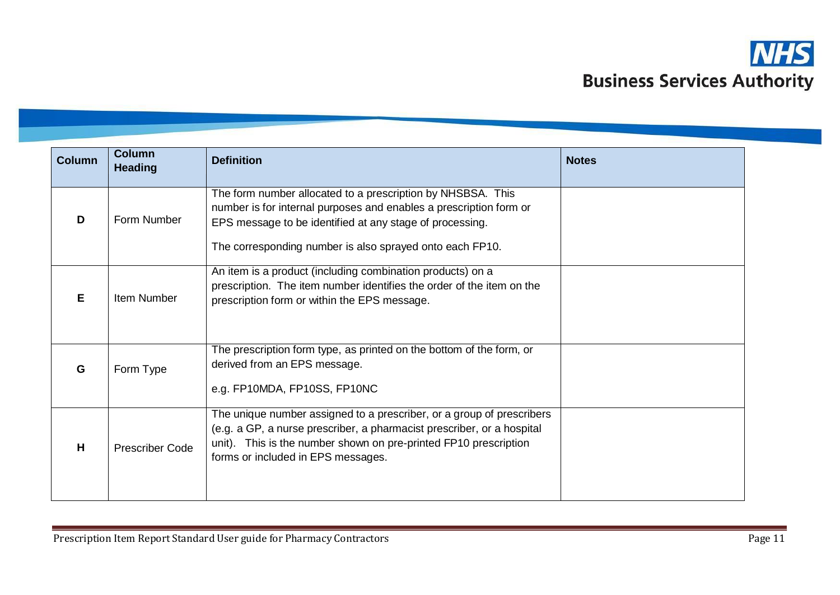

| <b>Column</b> | <b>Column</b><br><b>Heading</b> | <b>Definition</b>                                                                                                                                                                                                                                         | <b>Notes</b> |  |
|---------------|---------------------------------|-----------------------------------------------------------------------------------------------------------------------------------------------------------------------------------------------------------------------------------------------------------|--------------|--|
| D             | Form Number                     | The form number allocated to a prescription by NHSBSA. This<br>number is for internal purposes and enables a prescription form or<br>EPS message to be identified at any stage of processing.<br>The corresponding number is also sprayed onto each FP10. |              |  |
| E             | Item Number                     | An item is a product (including combination products) on a<br>prescription. The item number identifies the order of the item on the<br>prescription form or within the EPS message.                                                                       |              |  |
| G             | Form Type                       | The prescription form type, as printed on the bottom of the form, or<br>derived from an EPS message.<br>e.g. FP10MDA, FP10SS, FP10NC                                                                                                                      |              |  |
| H             | <b>Prescriber Code</b>          | The unique number assigned to a prescriber, or a group of prescribers<br>(e.g. a GP, a nurse prescriber, a pharmacist prescriber, or a hospital<br>unit). This is the number shown on pre-printed FP10 prescription<br>forms or included in EPS messages. |              |  |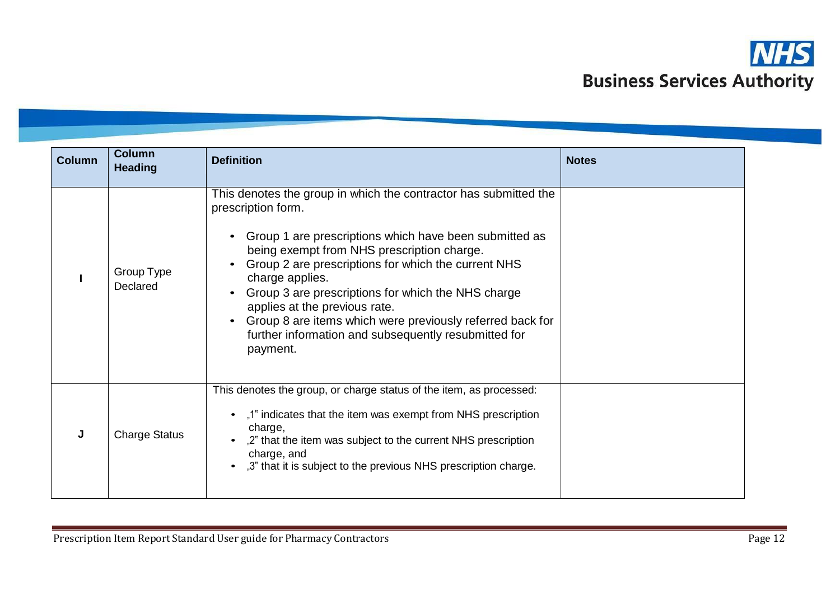

| <b>Column</b> | <b>Column</b><br><b>Heading</b> | <b>Definition</b>                                                                                                                                                                                                                                                                                                                                                                                                                                                                                | <b>Notes</b> |
|---------------|---------------------------------|--------------------------------------------------------------------------------------------------------------------------------------------------------------------------------------------------------------------------------------------------------------------------------------------------------------------------------------------------------------------------------------------------------------------------------------------------------------------------------------------------|--------------|
|               | Group Type<br>Declared          | This denotes the group in which the contractor has submitted the<br>prescription form.<br>Group 1 are prescriptions which have been submitted as<br>being exempt from NHS prescription charge.<br>Group 2 are prescriptions for which the current NHS<br>charge applies.<br>Group 3 are prescriptions for which the NHS charge<br>applies at the previous rate.<br>Group 8 are items which were previously referred back for<br>further information and subsequently resubmitted for<br>payment. |              |
| J             | <b>Charge Status</b>            | This denotes the group, or charge status of the item, as processed:<br>"1" indicates that the item was exempt from NHS prescription<br>charge,<br>"2" that the item was subject to the current NHS prescription<br>charge, and<br>"3" that it is subject to the previous NHS prescription charge.                                                                                                                                                                                                |              |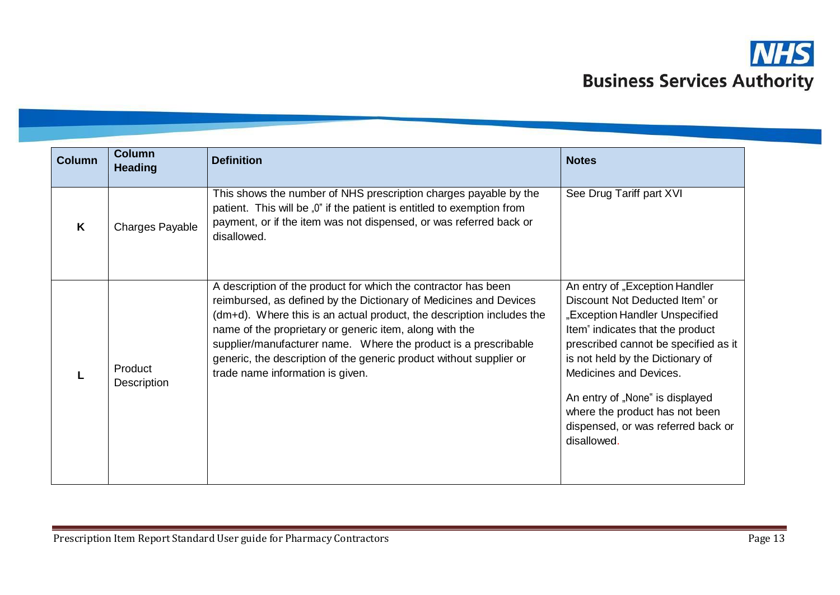

| <b>Column</b> | <b>Column</b><br><b>Heading</b> | <b>Definition</b>                                                                                                                                                                                                                                                                                                                                                                                                                                     | <b>Notes</b>                                                                                                                                                                                                                                                                                                                                                           |
|---------------|---------------------------------|-------------------------------------------------------------------------------------------------------------------------------------------------------------------------------------------------------------------------------------------------------------------------------------------------------------------------------------------------------------------------------------------------------------------------------------------------------|------------------------------------------------------------------------------------------------------------------------------------------------------------------------------------------------------------------------------------------------------------------------------------------------------------------------------------------------------------------------|
| K             | Charges Payable                 | This shows the number of NHS prescription charges payable by the<br>patient. This will be "0" if the patient is entitled to exemption from<br>payment, or if the item was not dispensed, or was referred back or<br>disallowed.                                                                                                                                                                                                                       | See Drug Tariff part XVI                                                                                                                                                                                                                                                                                                                                               |
|               | Product<br>Description          | A description of the product for which the contractor has been<br>reimbursed, as defined by the Dictionary of Medicines and Devices<br>(dm+d). Where this is an actual product, the description includes the<br>name of the proprietary or generic item, along with the<br>supplier/manufacturer name. Where the product is a prescribable<br>generic, the description of the generic product without supplier or<br>trade name information is given. | An entry of "Exception Handler<br>Discount Not Deducted Item" or<br>"Exception Handler Unspecified<br>Item" indicates that the product<br>prescribed cannot be specified as it<br>is not held by the Dictionary of<br>Medicines and Devices.<br>An entry of "None" is displayed<br>where the product has not been<br>dispensed, or was referred back or<br>disallowed. |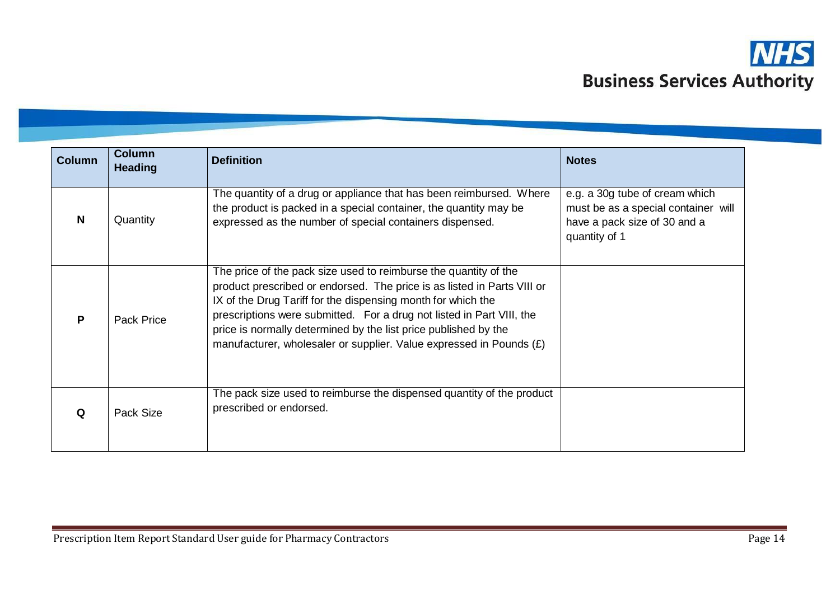

| <b>Column</b> | <b>Column</b><br><b>Heading</b> | <b>Definition</b>                                                                                                                                                                                                                                                                                                                                                                                                                | <b>Notes</b>                                                                                                           |
|---------------|---------------------------------|----------------------------------------------------------------------------------------------------------------------------------------------------------------------------------------------------------------------------------------------------------------------------------------------------------------------------------------------------------------------------------------------------------------------------------|------------------------------------------------------------------------------------------------------------------------|
| N             | Quantity                        | The quantity of a drug or appliance that has been reimbursed. Where<br>the product is packed in a special container, the quantity may be<br>expressed as the number of special containers dispensed.                                                                                                                                                                                                                             | e.g. a 30g tube of cream which<br>must be as a special container will<br>have a pack size of 30 and a<br>quantity of 1 |
| P             | <b>Pack Price</b>               | The price of the pack size used to reimburse the quantity of the<br>product prescribed or endorsed. The price is as listed in Parts VIII or<br>IX of the Drug Tariff for the dispensing month for which the<br>prescriptions were submitted. For a drug not listed in Part VIII, the<br>price is normally determined by the list price published by the<br>manufacturer, wholesaler or supplier. Value expressed in Pounds $(E)$ |                                                                                                                        |
| Q             | Pack Size                       | The pack size used to reimburse the dispensed quantity of the product<br>prescribed or endorsed.                                                                                                                                                                                                                                                                                                                                 |                                                                                                                        |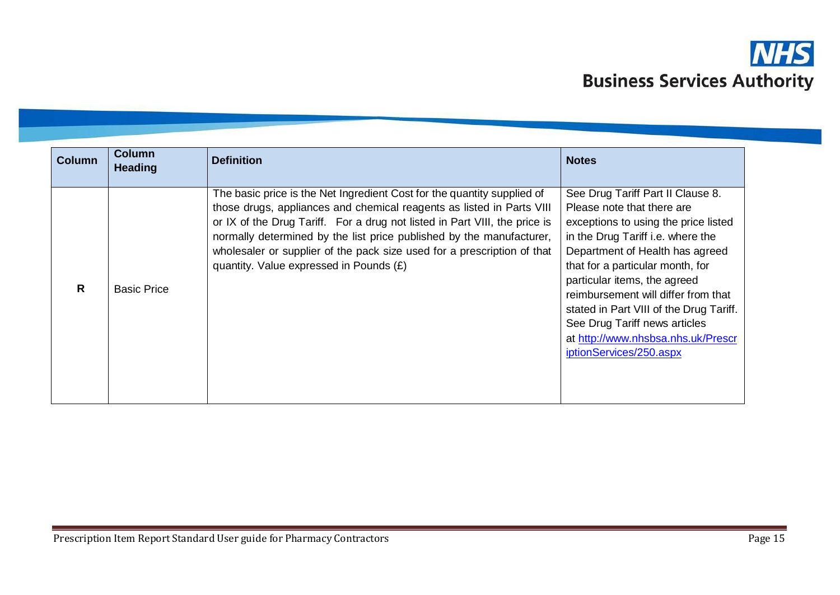

| <b>Column</b><br><b>Column</b><br><b>Heading</b> |                    | <b>Definition</b>                                                                                                                                                                                                                                                                                                                                                                                                            | <b>Notes</b>                                                                                                                                                                                                                                                                                                                                                                                                                            |
|--------------------------------------------------|--------------------|------------------------------------------------------------------------------------------------------------------------------------------------------------------------------------------------------------------------------------------------------------------------------------------------------------------------------------------------------------------------------------------------------------------------------|-----------------------------------------------------------------------------------------------------------------------------------------------------------------------------------------------------------------------------------------------------------------------------------------------------------------------------------------------------------------------------------------------------------------------------------------|
| R                                                | <b>Basic Price</b> | The basic price is the Net Ingredient Cost for the quantity supplied of<br>those drugs, appliances and chemical reagents as listed in Parts VIII<br>or IX of the Drug Tariff. For a drug not listed in Part VIII, the price is<br>normally determined by the list price published by the manufacturer,<br>wholesaler or supplier of the pack size used for a prescription of that<br>quantity. Value expressed in Pounds (£) | See Drug Tariff Part II Clause 8.<br>Please note that there are<br>exceptions to using the price listed<br>in the Drug Tariff i.e. where the<br>Department of Health has agreed<br>that for a particular month, for<br>particular items, the agreed<br>reimbursement will differ from that<br>stated in Part VIII of the Drug Tariff.<br>See Drug Tariff news articles<br>at http://www.nhsbsa.nhs.uk/Prescr<br>iptionServices/250.aspx |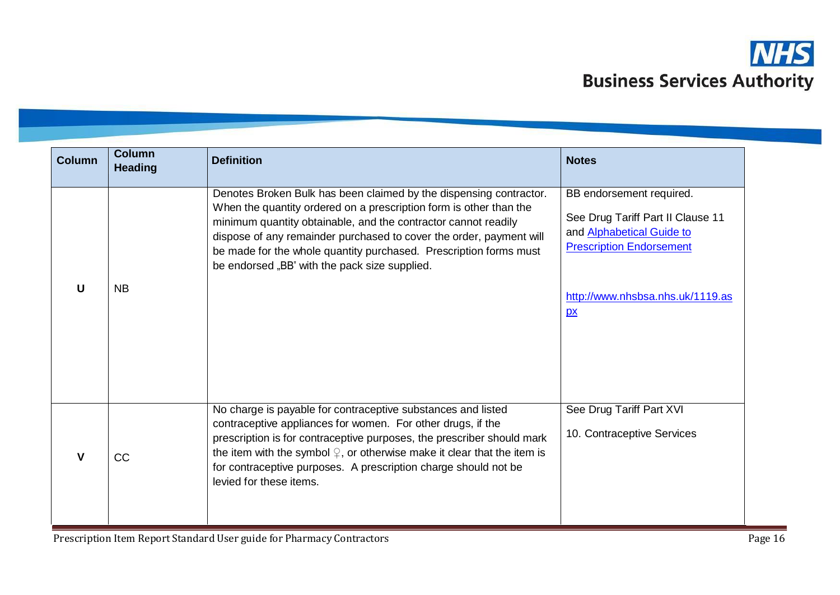

| <b>Column</b> | <b>Column</b><br><b>Heading</b> | <b>Definition</b>                                                                                                                                                                                                                                                                                                                                                                                       | <b>Notes</b>                                                                                                                                                                             |
|---------------|---------------------------------|---------------------------------------------------------------------------------------------------------------------------------------------------------------------------------------------------------------------------------------------------------------------------------------------------------------------------------------------------------------------------------------------------------|------------------------------------------------------------------------------------------------------------------------------------------------------------------------------------------|
| U             | <b>NB</b>                       | Denotes Broken Bulk has been claimed by the dispensing contractor.<br>When the quantity ordered on a prescription form is other than the<br>minimum quantity obtainable, and the contractor cannot readily<br>dispose of any remainder purchased to cover the order, payment will<br>be made for the whole quantity purchased. Prescription forms must<br>be endorsed "BB" with the pack size supplied. | BB endorsement required.<br>See Drug Tariff Part II Clause 11<br>and <b>Alphabetical Guide to</b><br><b>Prescription Endorsement</b><br>http://www.nhsbsa.nhs.uk/1119.as<br>$\mathbf{p}$ |
| V             | <b>CC</b>                       | No charge is payable for contraceptive substances and listed<br>contraceptive appliances for women. For other drugs, if the<br>prescription is for contraceptive purposes, the prescriber should mark<br>the item with the symbol $\mathcal{Q}$ , or otherwise make it clear that the item is<br>for contraceptive purposes. A prescription charge should not be<br>levied for these items.             | See Drug Tariff Part XVI<br>10. Contraceptive Services                                                                                                                                   |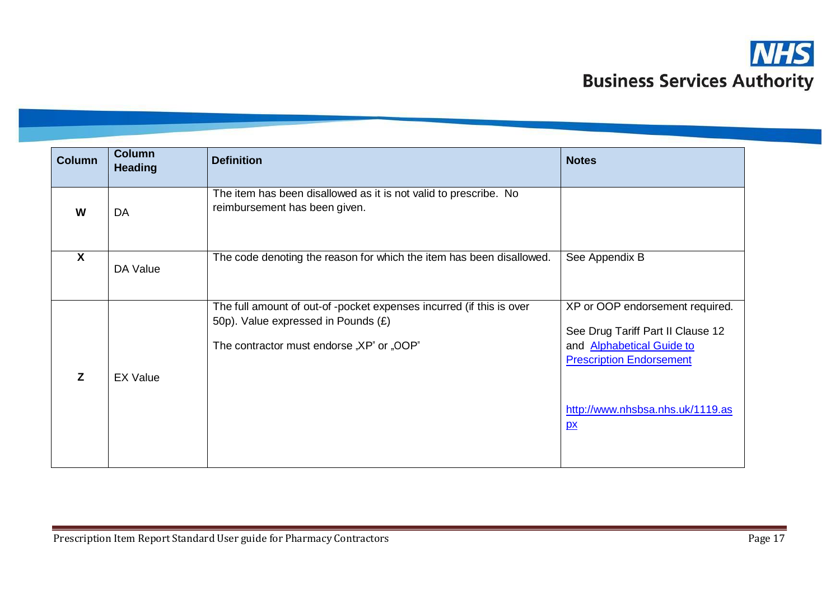

| <b>Column</b>           | <b>Column</b><br><b>Heading</b> | <b>Definition</b>                                                                                                                                        | <b>Notes</b>                                                                                                                                |
|-------------------------|---------------------------------|----------------------------------------------------------------------------------------------------------------------------------------------------------|---------------------------------------------------------------------------------------------------------------------------------------------|
| W                       | DA                              | The item has been disallowed as it is not valid to prescribe. No<br>reimbursement has been given.                                                        |                                                                                                                                             |
| $\overline{\mathbf{X}}$ | DA Value                        | The code denoting the reason for which the item has been disallowed.                                                                                     | See Appendix B                                                                                                                              |
| Z                       | <b>EX Value</b>                 | The full amount of out-of -pocket expenses incurred (if this is over<br>50p). Value expressed in Pounds (£)<br>The contractor must endorse "XP" or "OOP" | XP or OOP endorsement required.<br>See Drug Tariff Part II Clause 12<br>and <b>Alphabetical Guide to</b><br><b>Prescription Endorsement</b> |
|                         |                                 |                                                                                                                                                          | http://www.nhsbsa.nhs.uk/1119.as<br>$\mathbf{p}$                                                                                            |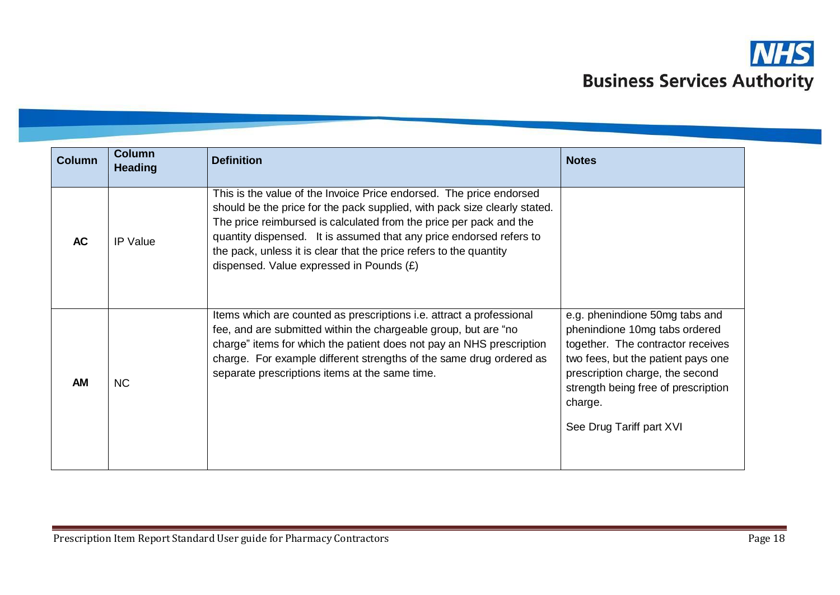

| <b>Column</b> | <b>Column</b><br><b>Heading</b> | <b>Definition</b>                                                                                                                                                                                                                                                                                                                                                                                               | <b>Notes</b>                                                                                                                                                                                                                                                |
|---------------|---------------------------------|-----------------------------------------------------------------------------------------------------------------------------------------------------------------------------------------------------------------------------------------------------------------------------------------------------------------------------------------------------------------------------------------------------------------|-------------------------------------------------------------------------------------------------------------------------------------------------------------------------------------------------------------------------------------------------------------|
| <b>AC</b>     | <b>IP Value</b>                 | This is the value of the Invoice Price endorsed. The price endorsed<br>should be the price for the pack supplied, with pack size clearly stated.<br>The price reimbursed is calculated from the price per pack and the<br>quantity dispensed. It is assumed that any price endorsed refers to<br>the pack, unless it is clear that the price refers to the quantity<br>dispensed. Value expressed in Pounds (£) |                                                                                                                                                                                                                                                             |
| <b>AM</b>     | <b>NC</b>                       | Items which are counted as prescriptions i.e. attract a professional<br>fee, and are submitted within the chargeable group, but are "no<br>charge" items for which the patient does not pay an NHS prescription<br>charge. For example different strengths of the same drug ordered as<br>separate prescriptions items at the same time.                                                                        | e.g. phenindione 50mg tabs and<br>phenindione 10mg tabs ordered<br>together. The contractor receives<br>two fees, but the patient pays one<br>prescription charge, the second<br>strength being free of prescription<br>charge.<br>See Drug Tariff part XVI |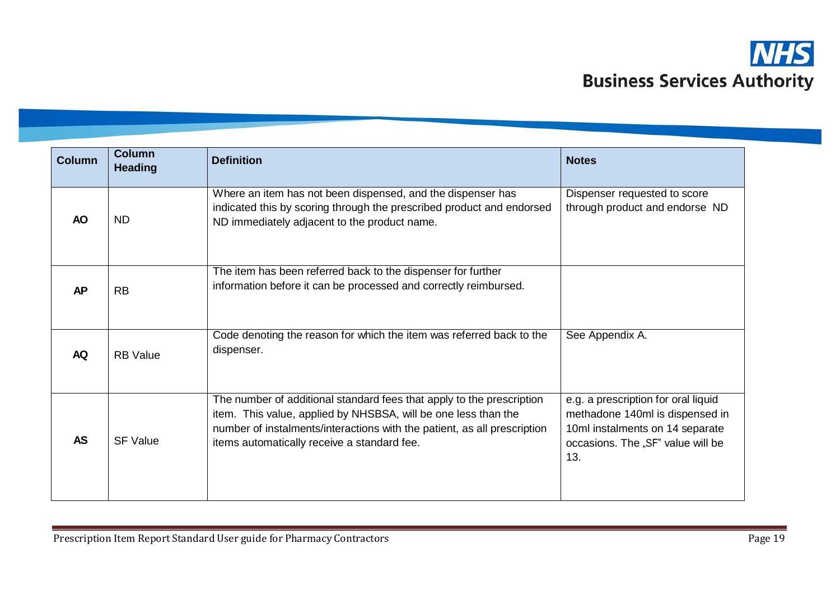

| <b>Column</b> | <b>Column</b><br><b>Heading</b> | <b>Definition</b>                                                                                                                                                                                                                                                  | <b>Notes</b>                                                                                                                                          |
|---------------|---------------------------------|--------------------------------------------------------------------------------------------------------------------------------------------------------------------------------------------------------------------------------------------------------------------|-------------------------------------------------------------------------------------------------------------------------------------------------------|
| <b>AO</b>     | <b>ND</b>                       | Where an item has not been dispensed, and the dispenser has<br>indicated this by scoring through the prescribed product and endorsed<br>ND immediately adjacent to the product name.                                                                               | Dispenser requested to score<br>through product and endorse ND                                                                                        |
| <b>AP</b>     | <b>RB</b>                       | The item has been referred back to the dispenser for further<br>information before it can be processed and correctly reimbursed.                                                                                                                                   |                                                                                                                                                       |
| <b>AQ</b>     | <b>RB</b> Value                 | Code denoting the reason for which the item was referred back to the<br>dispenser.                                                                                                                                                                                 | See Appendix A.                                                                                                                                       |
| <b>AS</b>     | <b>SF Value</b>                 | The number of additional standard fees that apply to the prescription<br>item. This value, applied by NHSBSA, will be one less than the<br>number of instalments/interactions with the patient, as all prescription<br>items automatically receive a standard fee. | e.g. a prescription for oral liquid<br>methadone 140ml is dispensed in<br>10ml instalments on 14 separate<br>occasions. The "SF" value will be<br>13. |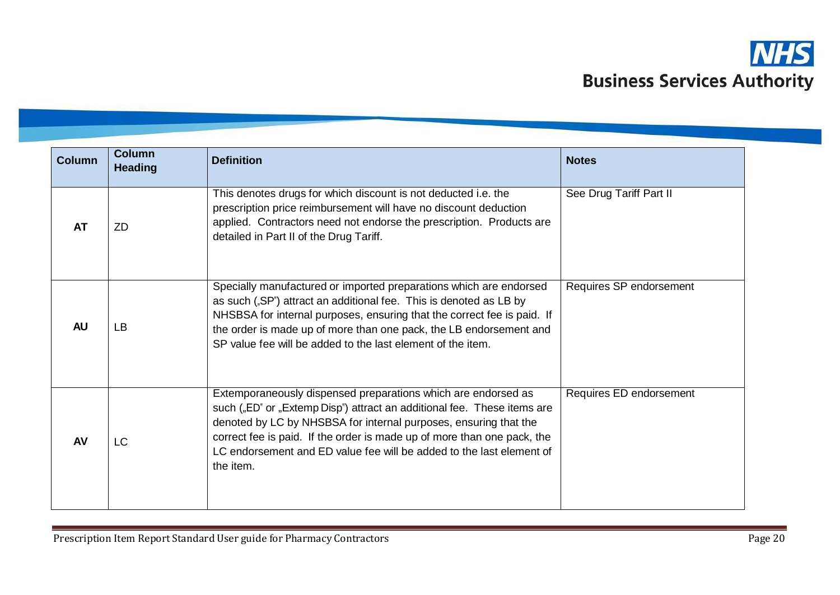

| <b>Column</b> | <b>Column</b><br><b>Heading</b> | <b>Definition</b>                                                                                                                                                                                                                                                                                                                                                            | <b>Notes</b>            |
|---------------|---------------------------------|------------------------------------------------------------------------------------------------------------------------------------------------------------------------------------------------------------------------------------------------------------------------------------------------------------------------------------------------------------------------------|-------------------------|
| <b>AT</b>     | <b>ZD</b>                       | This denotes drugs for which discount is not deducted i.e. the<br>prescription price reimbursement will have no discount deduction<br>applied. Contractors need not endorse the prescription. Products are<br>detailed in Part II of the Drug Tariff.                                                                                                                        | See Drug Tariff Part II |
| <b>AU</b>     | <b>LB</b>                       | Specially manufactured or imported preparations which are endorsed<br>as such ("SP") attract an additional fee. This is denoted as LB by<br>NHSBSA for internal purposes, ensuring that the correct fee is paid. If<br>the order is made up of more than one pack, the LB endorsement and<br>SP value fee will be added to the last element of the item.                     | Requires SP endorsement |
| <b>AV</b>     | <b>LC</b>                       | Extemporaneously dispensed preparations which are endorsed as<br>such ("ED" or "Extemp Disp") attract an additional fee. These items are<br>denoted by LC by NHSBSA for internal purposes, ensuring that the<br>correct fee is paid. If the order is made up of more than one pack, the<br>LC endorsement and ED value fee will be added to the last element of<br>the item. | Requires ED endorsement |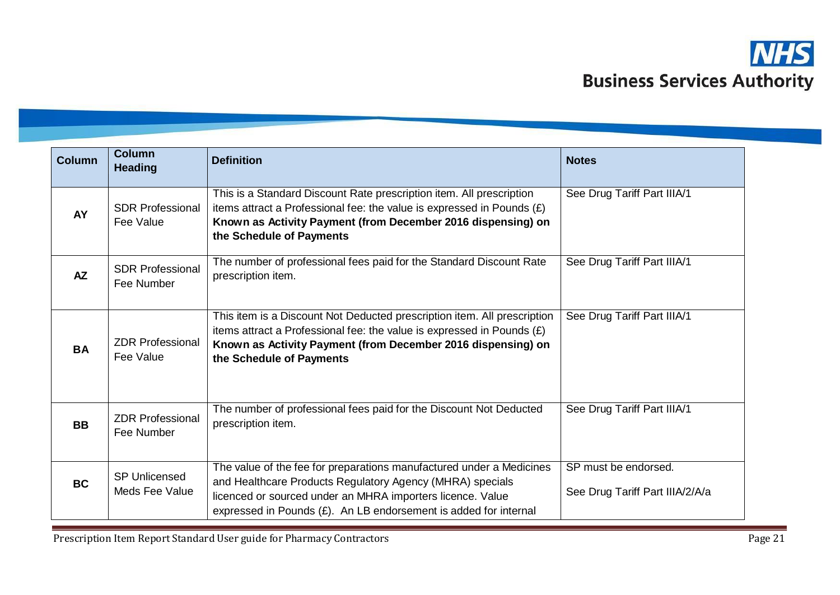

| <b>Column</b> | <b>Column</b><br><b>Heading</b>        | <b>Definition</b>                                                                                                                                                                                                                                                      | <b>Notes</b>                                            |
|---------------|----------------------------------------|------------------------------------------------------------------------------------------------------------------------------------------------------------------------------------------------------------------------------------------------------------------------|---------------------------------------------------------|
| <b>AY</b>     | <b>SDR Professional</b><br>Fee Value   | This is a Standard Discount Rate prescription item. All prescription<br>items attract a Professional fee: the value is expressed in Pounds $(E)$<br>Known as Activity Payment (from December 2016 dispensing) on<br>the Schedule of Payments                           | See Drug Tariff Part IIIA/1                             |
| <b>AZ</b>     | <b>SDR Professional</b><br>Fee Number  | The number of professional fees paid for the Standard Discount Rate<br>prescription item.                                                                                                                                                                              | See Drug Tariff Part IIIA/1                             |
| <b>BA</b>     | <b>ZDR Professional</b><br>Fee Value   | This item is a Discount Not Deducted prescription item. All prescription<br>items attract a Professional fee: the value is expressed in Pounds $(E)$<br>Known as Activity Payment (from December 2016 dispensing) on<br>the Schedule of Payments                       | See Drug Tariff Part IIIA/1                             |
| <b>BB</b>     | <b>ZDR Professional</b><br>Fee Number  | The number of professional fees paid for the Discount Not Deducted<br>prescription item.                                                                                                                                                                               | See Drug Tariff Part IIIA/1                             |
| <b>BC</b>     | <b>SP Unlicensed</b><br>Meds Fee Value | The value of the fee for preparations manufactured under a Medicines<br>and Healthcare Products Regulatory Agency (MHRA) specials<br>licenced or sourced under an MHRA importers licence. Value<br>expressed in Pounds $(E)$ . An LB endorsement is added for internal | SP must be endorsed.<br>See Drug Tariff Part IIIA/2/A/a |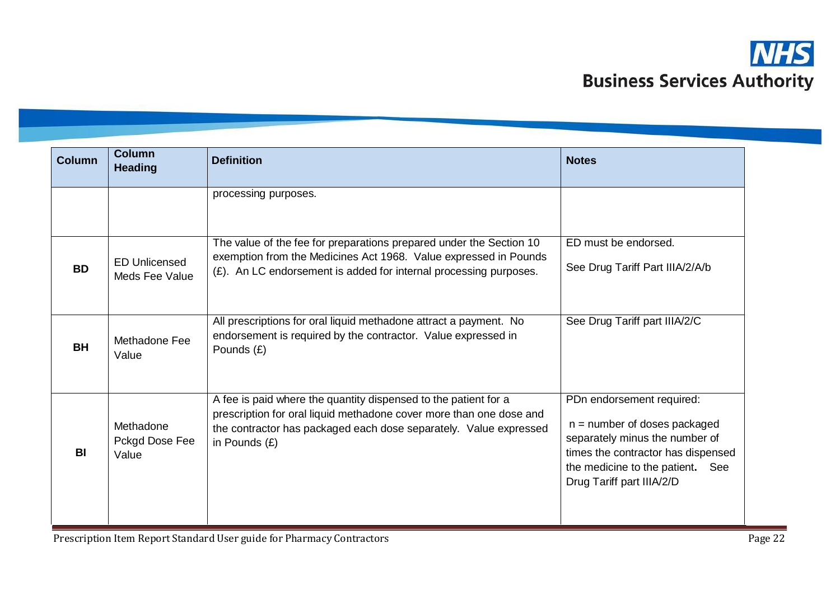

| <b>Column</b> | <b>Column</b><br><b>Heading</b>        | <b>Definition</b>                                                                                                                                                                                                              | <b>Notes</b>                                                                                                                                                                                         |
|---------------|----------------------------------------|--------------------------------------------------------------------------------------------------------------------------------------------------------------------------------------------------------------------------------|------------------------------------------------------------------------------------------------------------------------------------------------------------------------------------------------------|
|               |                                        | processing purposes.                                                                                                                                                                                                           |                                                                                                                                                                                                      |
| <b>BD</b>     | <b>ED Unlicensed</b><br>Meds Fee Value | The value of the fee for preparations prepared under the Section 10<br>exemption from the Medicines Act 1968. Value expressed in Pounds<br>(£). An LC endorsement is added for internal processing purposes.                   | ED must be endorsed.<br>See Drug Tariff Part IIIA/2/A/b                                                                                                                                              |
| <b>BH</b>     | Methadone Fee<br>Value                 | All prescriptions for oral liquid methadone attract a payment. No<br>endorsement is required by the contractor. Value expressed in<br>Pounds (£)                                                                               | See Drug Tariff part IIIA/2/C                                                                                                                                                                        |
| <b>BI</b>     | Methadone<br>Pckgd Dose Fee<br>Value   | A fee is paid where the quantity dispensed to the patient for a<br>prescription for oral liquid methadone cover more than one dose and<br>the contractor has packaged each dose separately. Value expressed<br>in Pounds $(E)$ | PDn endorsement required:<br>$n =$ number of doses packaged<br>separately minus the number of<br>times the contractor has dispensed<br>the medicine to the patient. See<br>Drug Tariff part IIIA/2/D |

Prescription Item Report Standard User guide for Pharmacy Contractors **Page 22** Page 22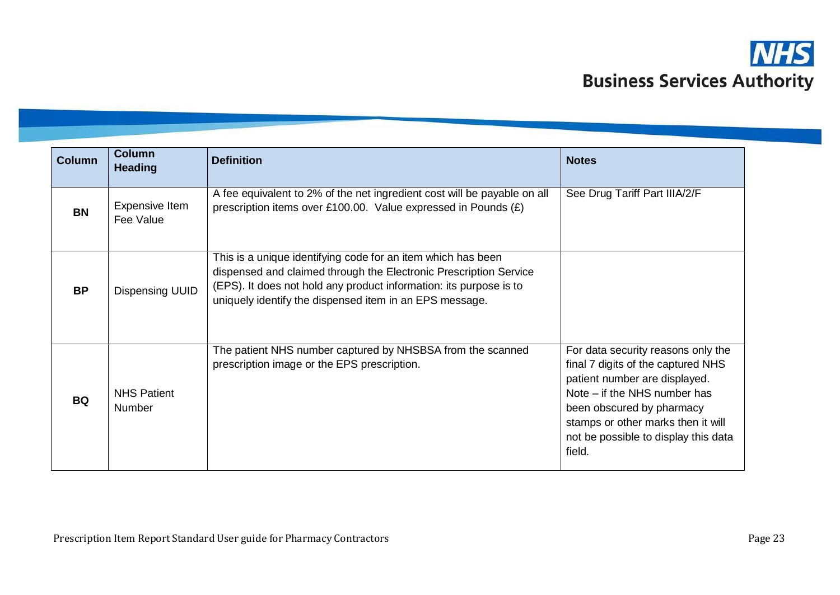

| <b>Column</b> | <b>Column</b><br><b>Heading</b>     | <b>Definition</b>                                                                                                                                                                                                                                                  | <b>Notes</b>                                                                                                                                                                                                                                                   |
|---------------|-------------------------------------|--------------------------------------------------------------------------------------------------------------------------------------------------------------------------------------------------------------------------------------------------------------------|----------------------------------------------------------------------------------------------------------------------------------------------------------------------------------------------------------------------------------------------------------------|
| <b>BN</b>     | Expensive Item<br>Fee Value         | A fee equivalent to 2% of the net ingredient cost will be payable on all<br>prescription items over £100.00. Value expressed in Pounds (£)                                                                                                                         | See Drug Tariff Part IIIA/2/F                                                                                                                                                                                                                                  |
| <b>BP</b>     | <b>Dispensing UUID</b>              | This is a unique identifying code for an item which has been<br>dispensed and claimed through the Electronic Prescription Service<br>(EPS). It does not hold any product information: its purpose is to<br>uniquely identify the dispensed item in an EPS message. |                                                                                                                                                                                                                                                                |
| <b>BQ</b>     | <b>NHS Patient</b><br><b>Number</b> | The patient NHS number captured by NHSBSA from the scanned<br>prescription image or the EPS prescription.                                                                                                                                                          | For data security reasons only the<br>final 7 digits of the captured NHS<br>patient number are displayed.<br>Note – if the NHS number has<br>been obscured by pharmacy<br>stamps or other marks then it will<br>not be possible to display this data<br>field. |